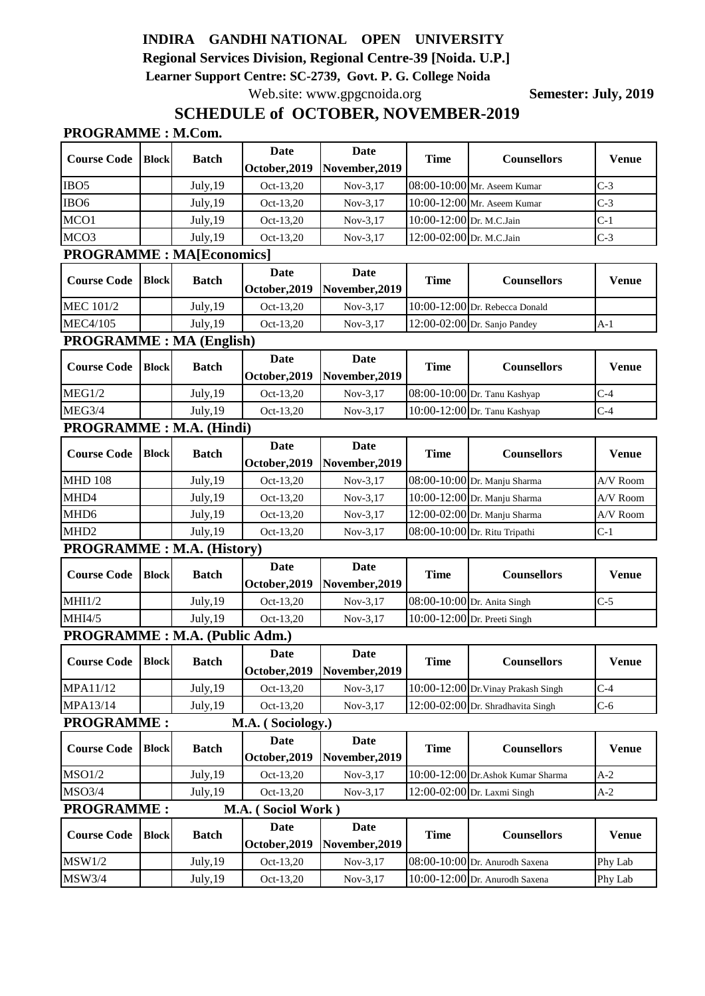# **INDIRA GANDHI NATIONAL OPEN UNIVERSITY**

**Regional Services Division, Regional Centre-39 [Noida. U.P.] Learner Support Centre: SC-2739, Govt. P. G. College Noida**

Web.site: www.gpgcnoida.org **Semester: July, 2019** 

## **SCHEDULE of OCTOBER, NOVEMBER-2019**

| <b>PROGRAMME: M.Com.</b> |  |
|--------------------------|--|
|--------------------------|--|

| <b>Course Code</b>                      | <b>Block</b> |              | <b>Date</b>       | Date                         | <b>Time</b>              | <b>Counsellors</b>                  | <b>Venue</b> |              |  |
|-----------------------------------------|--------------|--------------|-------------------|------------------------------|--------------------------|-------------------------------------|--------------|--------------|--|
|                                         |              | <b>Batch</b> | October, 2019     | November, 2019               |                          |                                     |              |              |  |
| IBO <sub>5</sub>                        |              | July, 19     | Oct-13,20         | $Nov-3,17$                   |                          | 08:00-10:00 Mr. Aseem Kumar         | $C-3$        |              |  |
| IBO <sub>6</sub>                        |              | July, 19     | Oct-13,20         | $Nov-3,17$                   |                          | 10:00-12:00 Mr. Aseem Kumar         | $C-3$        |              |  |
| MCO1                                    |              | July, 19     | Oct-13,20         | $Nov-3,17$                   | 10:00-12:00 Dr. M.C.Jain |                                     | $C-1$        |              |  |
| MCO <sub>3</sub>                        |              | July, 19     | Oct-13,20         | $Nov-3,17$                   | 12:00-02:00 Dr. M.C.Jain |                                     | $C-3$        |              |  |
| <b>PROGRAMME: MA[Economics]</b>         |              |              |                   |                              |                          |                                     |              |              |  |
| <b>Course Code</b>                      | <b>Block</b> | <b>Batch</b> | <b>Date</b>       | Date                         | <b>Time</b>              | <b>Counsellors</b>                  | <b>Venue</b> |              |  |
|                                         |              |              | October, 2019     | November, 2019               |                          |                                     |              |              |  |
| <b>MEC 101/2</b>                        |              | July, 19     | Oct-13,20         | $Nov-3,17$                   |                          | 10:00-12:00 Dr. Rebecca Donald      |              |              |  |
| <b>MEC4/105</b>                         |              | July, 19     | Oct-13,20         | Nov-3,17                     |                          | 12:00-02:00 Dr. Sanjo Pandey        | $A-1$        |              |  |
| <b>PROGRAMME: MA (English)</b>          |              |              |                   |                              |                          |                                     |              |              |  |
| <b>Course Code</b>                      | <b>Block</b> | <b>Batch</b> | <b>Date</b>       | <b>Date</b>                  | <b>Time</b>              | <b>Counsellors</b>                  | <b>Venue</b> |              |  |
|                                         |              |              | October, 2019     | November, 2019               |                          |                                     |              |              |  |
| MEG1/2                                  |              | July, 19     | Oct-13,20         | Nov-3,17                     |                          | 08:00-10:00 Dr. Tanu Kashyap        | $C-4$        |              |  |
| MEG3/4                                  |              | July, 19     | Oct-13,20         | $Nov-3,17$                   |                          | 10:00-12:00 Dr. Tanu Kashyap        | $C-4$        |              |  |
| PROGRAMME: M.A. (Hindi)                 |              |              |                   |                              |                          |                                     |              |              |  |
|                                         | <b>Block</b> |              | <b>Date</b>       | Date                         | <b>Time</b>              | <b>Counsellors</b>                  | <b>Venue</b> |              |  |
| <b>Course Code</b>                      |              | <b>Batch</b> | October, 2019     | November, 2019               |                          |                                     |              |              |  |
| <b>MHD 108</b>                          |              | July, 19     | Oct-13,20         | Nov-3,17                     |                          | 08:00-10:00 Dr. Manju Sharma        | A/V Room     |              |  |
| MHD4                                    |              | July, 19     | Oct-13,20         | Nov-3,17                     |                          | 10:00-12:00 Dr. Manju Sharma        | A/V Room     |              |  |
| MHD <sub>6</sub>                        |              | July, 19     | Oct-13,20         | $Nov-3,17$                   |                          | 12:00-02:00 Dr. Manju Sharma        | A/V Room     |              |  |
| MHD <sub>2</sub>                        |              | July, 19     | Oct-13,20         | $Nov-3,17$                   |                          | 08:00-10:00 Dr. Ritu Tripathi       | $C-1$        |              |  |
| <b>PROGRAMME: M.A. (History)</b>        |              |              |                   |                              |                          |                                     |              |              |  |
| <b>Course Code</b>                      | <b>Block</b> | <b>Batch</b> | <b>Date</b>       | Date                         | <b>Time</b>              | <b>Counsellors</b>                  | <b>Venue</b> |              |  |
|                                         |              |              | October, 2019     | November, 2019               |                          |                                     |              |              |  |
| MHI/2                                   |              | July, 19     | Oct-13,20         | Nov-3,17                     |                          | 08:00-10:00 Dr. Anita Singh         | $C-5$        |              |  |
| MHI4/5                                  |              | July, 19     | Oct-13,20         | $Nov-3,17$                   |                          | 10:00-12:00 Dr. Preeti Singh        |              |              |  |
| PROGRAMME : M.A. (Public Adm.)          |              |              |                   |                              |                          |                                     |              |              |  |
| <b>Course Code</b>                      | <b>Block</b> | <b>Batch</b> | Date              | Date                         | <b>Time</b>              | <b>Counsellors</b>                  | <b>Venue</b> |              |  |
|                                         |              |              |                   | October, 2019 November, 2019 |                          |                                     |              |              |  |
| MPA11/12                                |              | July, 19     | Oct-13,20         | Nov-3,17                     |                          | 10:00-12:00 Dr. Vinay Prakash Singh | $C-4$        |              |  |
| MPA13/14                                |              | July, 19     | Oct-13,20         | Nov-3,17                     |                          | 12:00-02:00 Dr. Shradhavita Singh   | $C-6$        |              |  |
| <b>PROGRAMME:</b>                       |              |              | M.A. (Sociology.) |                              |                          |                                     |              |              |  |
| <b>Course Code</b>                      | <b>Block</b> | <b>Batch</b> | <b>Date</b>       | <b>Date</b>                  | <b>Time</b>              | <b>Counsellors</b>                  |              |              |  |
|                                         |              |              |                   | October, 2019                | November, 2019           |                                     |              | <b>Venue</b> |  |
| MSO1/2                                  |              | July, 19     | Oct-13,20         | Nov-3,17                     |                          | 10:00-12:00 Dr. Ashok Kumar Sharma  | $A-2$        |              |  |
| <b>MSO3/4</b>                           |              | July, 19     | Oct-13,20         | Nov-3,17                     |                          | 12:00-02:00 Dr. Laxmi Singh         | $A-2$        |              |  |
| <b>PROGRAMME:</b><br>M.A. (Sociol Work) |              |              |                   |                              |                          |                                     |              |              |  |
|                                         | <b>Block</b> | <b>Batch</b> | <b>Date</b>       | <b>Date</b>                  | <b>Time</b>              |                                     | <b>Venue</b> |              |  |
| <b>Course Code</b>                      |              |              | October, 2019     | November, 2019               |                          | <b>Counsellors</b>                  |              |              |  |
| MSW1/2                                  |              | July, 19     | Oct-13,20         | Nov-3,17                     |                          | 08:00-10:00 Dr. Anurodh Saxena      | Phy Lab      |              |  |
| MSW3/4                                  |              | July, 19     | Oct-13,20         | Nov-3,17                     |                          | 10:00-12:00 Dr. Anurodh Saxena      | Phy Lab      |              |  |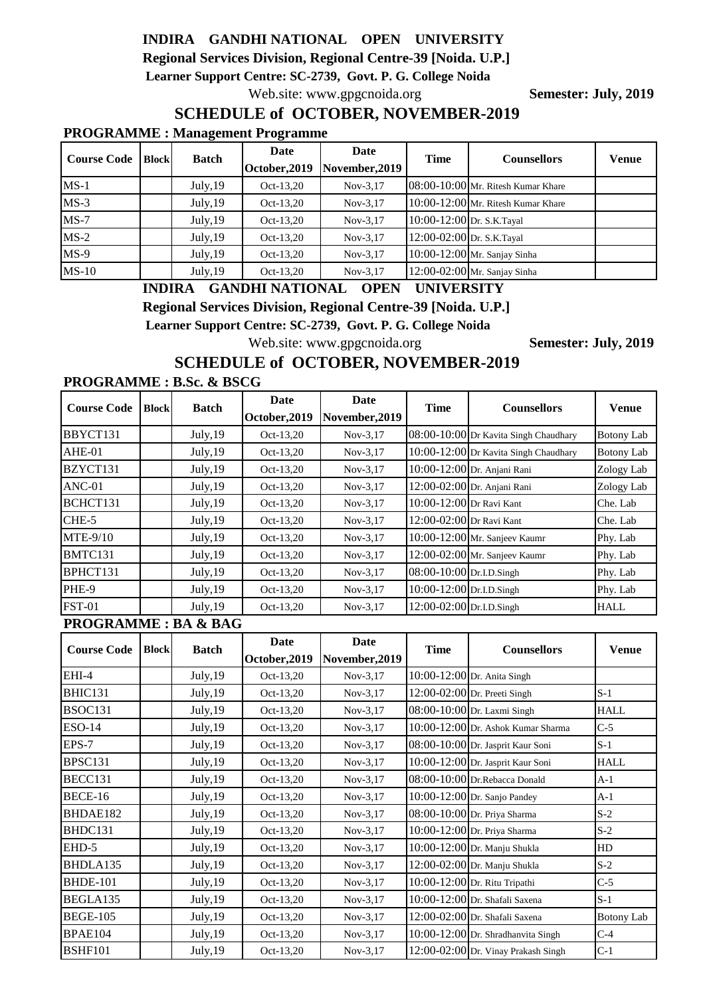## **INDIRA GANDHI NATIONAL OPEN UNIVERSITY**

**Regional Services Division, Regional Centre-39 [Noida. U.P.]**

 **Learner Support Centre: SC-2739, Govt. P. G. College Noida**

Web.site: www.gpgcnoida.org **Semester: July, 2019** 

## **SCHEDULE of OCTOBER, NOVEMBER-2019**

#### **PROGRAMME : Management Programme**

| <b>Course Code</b> | <b>Block</b> | <b>Batch</b> | Date<br>October, 2019 | Date<br>November, 2019 | <b>Time</b>                | <b>Counsellors</b>                 | <b>Venue</b> |
|--------------------|--------------|--------------|-----------------------|------------------------|----------------------------|------------------------------------|--------------|
| $MS-1$             |              | July, 19     | Oct-13.20             | $Nov-3.17$             |                            | 08:00-10:00 Mr. Ritesh Kumar Khare |              |
| $MS-3$             |              | July, 19     | Oct-13,20             | $Nov-3.17$             |                            | 10:00-12:00 Mr. Ritesh Kumar Khare |              |
| $MS-7$             |              | July, 19     | Oct-13,20             | $Nov-3.17$             | 10:00-12:00 Dr. S.K.Tayal  |                                    |              |
| $MS-2$             |              | July, 19     | Oct-13,20             | $Nov-3.17$             | 12:00-02:00 Dr. S.K. Tayal |                                    |              |
| $MS-9$             |              | July, 19     | Oct-13,20             | $Nov-3.17$             |                            | 10:00-12:00 Mr. Sanjay Sinha       |              |
| $MS-10$            |              | July, 19     | Oct-13,20             | $Nov-3.17$             |                            | 12:00-02:00 Mr. Sanjay Sinha       |              |

### **INDIRA GANDHI NATIONAL OPEN UNIVERSITY**

**Regional Services Division, Regional Centre-39 [Noida. U.P.]**

 **Learner Support Centre: SC-2739, Govt. P. G. College Noida**

Web.site: www.gpgcnoida.org **Semester: July, 2019** 

### **SCHEDULE of OCTOBER, NOVEMBER-2019**

#### **PROGRAMME : B.Sc. & BSCG**

| <b>Course Code</b> | <b>Block</b> | <b>Batch</b> | Date<br>October, 2019 | Date<br>November, 2019 | <b>Time</b>                | <b>Counsellors</b>                    | <b>Venue</b>      |
|--------------------|--------------|--------------|-----------------------|------------------------|----------------------------|---------------------------------------|-------------------|
| BBYCT131           |              | July, 19     | Oct-13,20             | $Nov-3.17$             |                            | 08:00-10:00 Dr Kavita Singh Chaudhary | <b>Botony Lab</b> |
| $AHE-01$           |              | July, 19     | Oct-13,20             | $Nov-3.17$             |                            | 10:00-12:00 Dr Kavita Singh Chaudhary | <b>Botony Lab</b> |
| BZYCT131           |              | July, 19     | Oct-13,20             | $Nov-3.17$             |                            | 10:00-12:00 Dr. Anjani Rani           | Zology Lab        |
| $ANC-01$           |              | July, 19     | Oct-13,20             | $Nov-3.17$             |                            | 12:00-02:00 Dr. Anjani Rani           | Zology Lab        |
| BCHCT131           |              | July, 19     | Oct-13,20             | $Nov-3.17$             | 10:00-12:00 Dr Ravi Kant   |                                       | Che. Lab          |
| $CHE-5$            |              | July, 19     | Oct-13,20             | $Nov-3.17$             | $12:00-02:00$ Dr Ravi Kant |                                       | Che. Lab          |
| <b>MTE-9/10</b>    |              | July, 19     | Oct-13,20             | $Nov-3.17$             |                            | $10:00-12:00$ Mr. Sanjeev Kaumr       | Phy. Lab          |
| BMTC131            |              | July, 19     | Oct-13,20             | $Nov-3.17$             |                            | $12:00-02:00$ Mr. Sanjeev Kaumr       | Phy. Lab          |
| BPHCT131           |              | July, 19     | Oct-13,20             | $Nov-3,17$             | 08:00-10:00 Dr.I.D.Singh   |                                       | Phy. Lab          |
| PHE-9              |              | July, 19     | Oct-13,20             | $Nov-3.17$             | 10:00-12:00 Dr.I.D.Singh   |                                       | Phy. Lab          |
| <b>FST-01</b>      |              | July, 19     | Oct-13,20             | $Nov-3.17$             | 12:00-02:00 Dr.I.D.Singh   |                                       | HALL              |

#### **PROGRAMME : BA & BAG**

| <b>Course Code</b> | <b>Block</b> | <b>Batch</b> | Date<br>October, 2019 | Date<br>November, 2019 | <b>Time</b> | <b>Counsellors</b>                   | <b>Venue</b> |
|--------------------|--------------|--------------|-----------------------|------------------------|-------------|--------------------------------------|--------------|
| EHI-4              |              | July, 19     | Oct-13,20             | $Nov-3,17$             |             | 10:00-12:00 Dr. Anita Singh          |              |
| BHIC131            |              | July, 19     | Oct-13,20             | $Nov-3,17$             |             | 12:00-02:00 Dr. Preeti Singh         | $S-1$        |
| BSOC131            |              | July, 19     | Oct-13,20             | $Nov-3,17$             |             | 08:00-10:00 Dr. Laxmi Singh          | <b>HALL</b>  |
| $ESO-14$           |              | July, 19     | Oct-13,20             | $Nov-3,17$             |             | 10:00-12:00 Dr. Ashok Kumar Sharma   | $C-5$        |
| EPS-7              |              | July, 19     | Oct-13,20             | $Nov-3,17$             |             | 08:00-10:00 Dr. Jasprit Kaur Soni    | $S-1$        |
| BPSC131            |              | July, 19     | Oct-13,20             | $Nov-3,17$             |             | 10:00-12:00 Dr. Jasprit Kaur Soni    | <b>HALL</b>  |
| BECC131            |              | July, 19     | Oct-13,20             | $Nov-3,17$             |             | 08:00-10:00 Dr.Rebacca Donald        | $A-1$        |
| BECE-16            |              | July, 19     | Oct-13,20             | $Nov-3,17$             |             | $10:00-12:00$ Dr. Sanjo Pandey       | $A-1$        |
| BHDAE182           |              | July, 19     | Oct-13,20             | $Nov-3,17$             |             | 08:00-10:00 Dr. Priya Sharma         | $S-2$        |
| BHDC131            |              | July, 19     | Oct-13,20             | $Nov-3,17$             |             | 10:00-12:00 Dr. Priya Sharma         | $S-2$        |
| EHD-5              |              | July, 19     | Oct-13,20             | $Nov-3,17$             |             | 10:00-12:00 Dr. Manju Shukla         | HD           |
| BHDLA135           |              | July, 19     | Oct-13,20             | $Nov-3,17$             |             | 12:00-02:00 Dr. Manju Shukla         | $S-2$        |
| <b>BHDE-101</b>    |              | July, 19     | Oct-13,20             | $Nov-3,17$             |             | 10:00-12:00 Dr. Ritu Tripathi        | $C-5$        |
| BEGLA135           |              | July, 19     | Oct-13,20             | $Nov-3,17$             |             | 10:00-12:00 Dr. Shafali Saxena       | $S-1$        |
| <b>BEGE-105</b>    |              | July, 19     | Oct-13,20             | $Nov-3,17$             |             | 12:00-02:00 Dr. Shafali Saxena       | Botony Lab   |
| BPAE104            |              | July, 19     | Oct-13,20             | $Nov-3,17$             |             | $10:00-12:00$ Dr. Shradhanvita Singh | $C-4$        |
| <b>BSHF101</b>     |              | July, 19     | Oct-13,20             | $Nov-3,17$             |             | 12:00-02:00 Dr. Vinay Prakash Singh  | $C-1$        |